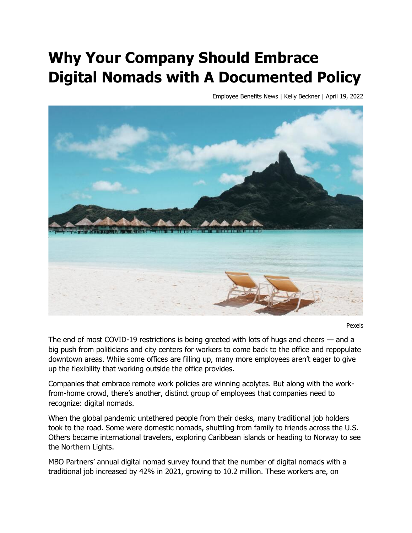## **Why Your Company Should Embrace Digital Nomads with A Documented Policy**

Employee Benefits News | Kelly Beckner | April 19, 2022



Pexels

The end of most COVID-19 restrictions is being greeted with lots of hugs and cheers — and a big push from politicians and city centers for workers to come back to the office and repopulate downtown areas. While some offices are filling up, many more employees aren't eager to give up the flexibility that working outside the office provides.

Companies that embrace remote work policies are winning acolytes. But along with the workfrom-home crowd, there's another, distinct group of employees that companies need to recognize: digital nomads.

When the global pandemic untethered people from their desks, many traditional job holders took to the road. Some were domestic nomads, shuttling from family to friends across the U.S. Others became international travelers, exploring Caribbean islands or heading to Norway to see the Northern Lights.

MBO Partners' annual digital nomad survey found that the number of digital nomads with a traditional job increased by 42% in 2021, growing to 10.2 million. These workers are, on